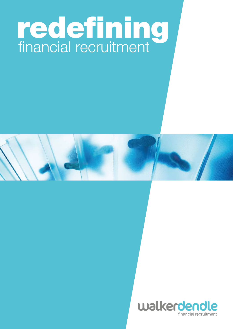

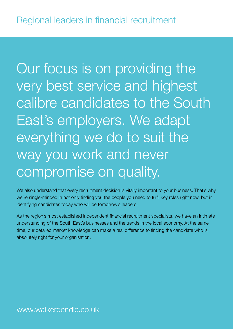Our focus is on providing the very best service and highest calibre candidates to the South East's employers. We adapt everything we do to suit the way you work and never compromise on quality.

We also understand that every recruitment decision is vitally important to your business. That's why we're single-minded in not only finding you the people you need to fulfil key roles right now, but in identifying candidates today who will be tomorrow's leaders.

As the region's most established independent financial recruitment specialists, we have an intimate understanding of the South East's businesses and the trends in the local economy. At the same time, our detailed market knowledge can make a real difference to finding the candidate who is absolutely right for your organisation.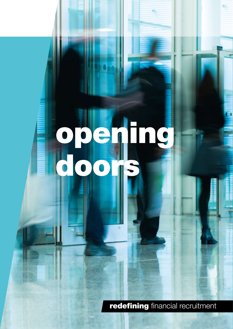## opening doors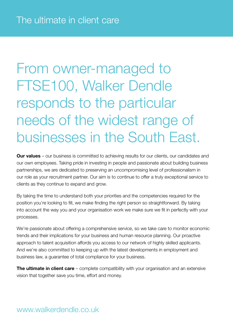From owner-managed to FTSE100, Walker Dendle responds to the particular needs of the widest range of businesses in the South East.

**Our values** – our business is committed to achieving results for our clients, our candidates and our own employees. Taking pride in investing in people and passionate about building business partnerships, we are dedicated to preserving an uncompromising level of professionalism in our role as your recruitment partner. Our aim is to continue to offer a truly exceptional service to clients as they continue to expand and grow.

By taking the time to understand both your priorities and the competencies required for the position you're looking to fill, we make finding the right person so straightforward. By taking into account the way you and your organisation work we make sure we fit in perfectly with your processes.

We're passionate about offering a comprehensive service, so we take care to monitor economic trends and their implications for your business and human resource planning. Our proactive approach to talent acquisition affords you access to our network of highly skilled applicants. And we're also committed to keeping up with the latest developments in employment and business law, a guarantee of total compliance for your business.

**The ultimate in client care** – complete compatibility with your organisation and an extensive vision that together save you time, effort and money.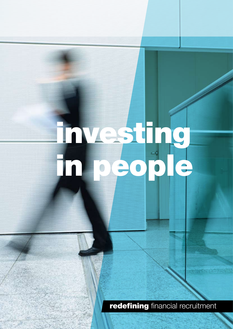# investing in people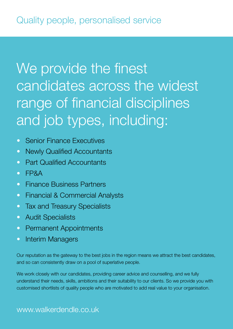### We provide the finest candidates across the widest range of financial disciplines and job types, including:

- Senior Finance Executives
- Newly Qualified Accountants
- Part Qualified Accountants
- • FP&A
- **•** Finance Business Partners
- Financial & Commercial Analysts
- Tax and Treasury Specialists
- Audit Specialists
- Permanent Appointments
- Interim Managers

Our reputation as the gateway to the best jobs in the region means we attract the best candidates, and so can consistently draw on a pool of superlative people.

We work closely with our candidates, providing career advice and counselling, and we fully understand their needs, skills, ambitions and their suitability to our clients. So we provide you with customised shortlists of quality people who are motivated to add real value to your organisation.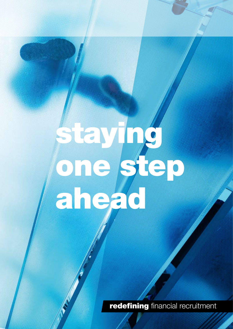## Staying one step ahead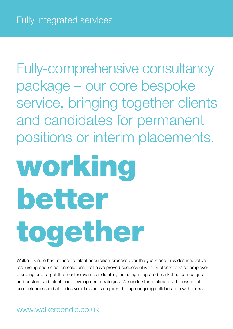Fully-comprehensive consultancy package – our core bespoke service, bringing together clients and candidates for permanent positions or interim placements.

## working better together

Walker Dendle has refined its talent acquisition process over the years and provides innovative resourcing and selection solutions that have proved successful with its clients to raise employer branding and target the most relevant candidates, including integrated marketing campaigns and customised talent pool development strategies. We understand intimately the essential competencies and attitudes your business requires through ongoing collaboration with hirers.

### www.walkerdendle.co.uk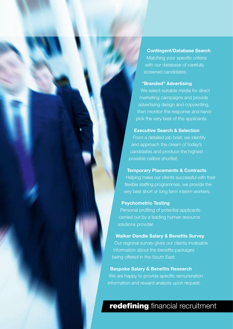Contingent/Database Search

Matching your specific criteria with our database of carefully screened candidates.

#### "Branded" Advertising

We select suitable media for direct marketing campaigns and provide advertising design and copywriting, then monitor the response and handpick the very best of the applicants.

#### Executive Search & Selection

From a detailed job brief, we identify and approach the cream of today's candidates and produce the highest possible calibre shortlist.

#### Temporary Placements & Contracts

Helping make our clients successful with their flexible staffing programmes, we provide the very best short or long term interim workers.

#### Psychometric Testing

Personal profiling of potential applicants carried out by a leading human resource solutions provider.

#### Walker Dendle Salary & Benefits Survey

Our regional survey gives our clients invaluable information about the benefits packages being offered in the South East.

#### Bespoke Salary & Benefits Research

We are happy to provide specific remuneration information and reward analysis upon request.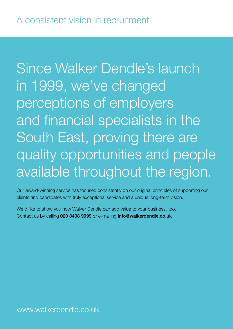Since Walker Dendle's launch in 1999, we've changed perceptions of employers and financial specialists in the South East, proving there are quality opportunities and people available throughout the region.

Our award-winning service has focused consistently on our original principles of supporting our clients and candidates with truly exceptional service and a unique long-term vision.

We'd like to show you how Walker Dendle can add value to your business, too. Contact us by calling 020 8408 9999 or e-mailing info@walkerdendle.co.uk

www.walkerdendle.co.uk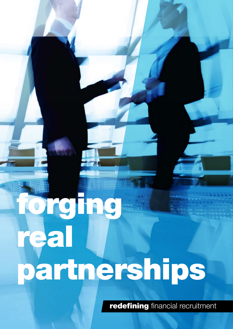# forging real partnerships